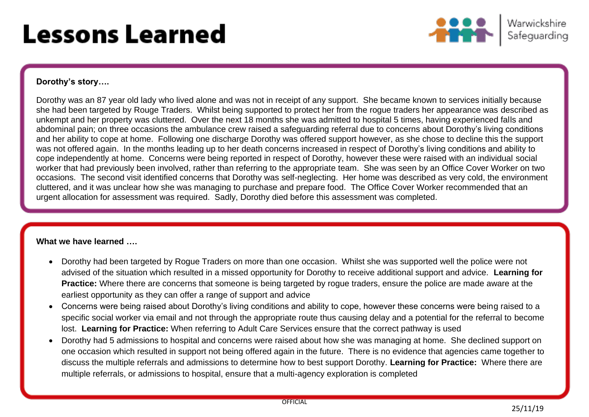# **Lessons Learned**



## **Dorothy's story….**

Dorothy was an 87 year old lady who lived alone and was not in receipt of any support. She became known to services initially because she had been targeted by Rouge Traders. Whilst being supported to protect her from the rogue traders her appearance was described as unkempt and her property was cluttered. Over the next 18 months she was admitted to hospital 5 times, having experienced falls and abdominal pain; on three occasions the ambulance crew raised a safeguarding referral due to concerns about Dorothy's living conditions and her ability to cope at home. Following one discharge Dorothy was offered support however, as she chose to decline this the support was not offered again. In the months leading up to her death concerns increased in respect of Dorothy's living conditions and ability to cope independently at home. Concerns were being reported in respect of Dorothy, however these were raised with an individual social worker that had previously been involved, rather than referring to the appropriate team. She was seen by an Office Cover Worker on two occasions. The second visit identified concerns that Dorothy was self-neglecting. Her home was described as very cold, the environment cluttered, and it was unclear how she was managing to purchase and prepare food. The Office Cover Worker recommended that an urgent allocation for assessment was required. Sadly, Dorothy died before this assessment was completed.

## **What we have learned ….**

- Dorothy had been targeted by Rogue Traders on more than one occasion. Whilst she was supported well the police were not advised of the situation which resulted in a missed opportunity for Dorothy to receive additional support and advice. **Learning for Practice:** Where there are concerns that someone is being targeted by rogue traders, ensure the police are made aware at the earliest opportunity as they can offer a range of support and advice
- Concerns were being raised about Dorothy's living conditions and ability to cope, however these concerns were being raised to a specific social worker via email and not through the appropriate route thus causing delay and a potential for the referral to become lost. **Learning for Practice:** When referring to Adult Care Services ensure that the correct pathway is used
- Dorothy had 5 admissions to hospital and concerns were raised about how she was managing at home. She declined support on one occasion which resulted in support not being offered again in the future. There is no evidence that agencies came together to discuss the multiple referrals and admissions to determine how to best support Dorothy. **Learning for Practice:** Where there are multiple referrals, or admissions to hospital, ensure that a multi-agency exploration is completed